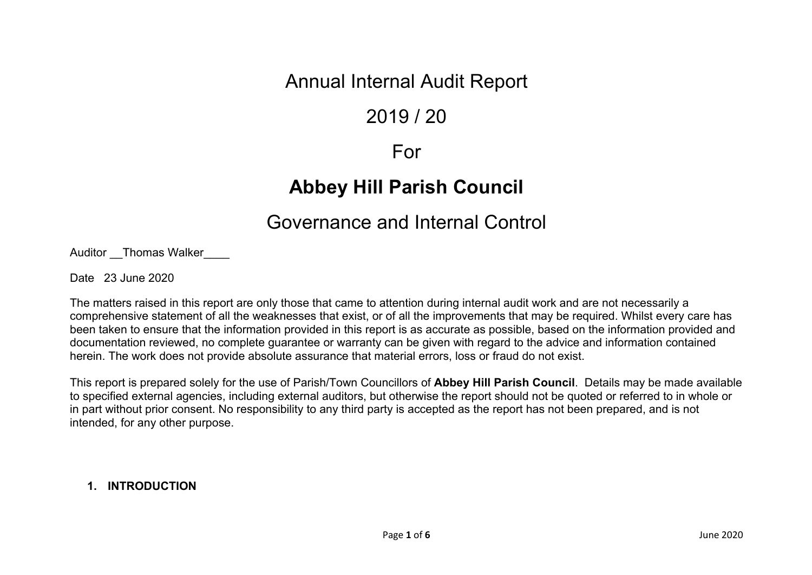## Annual Internal Audit Report

## 2019 / 20

### For

# **Abbey Hill Parish Council**

# Governance and Internal Control

Auditor Thomas Walker

Date 23 June 2020

The matters raised in this report are only those that came to attention during internal audit work and are not necessarily a comprehensive statement of all the weaknesses that exist, or of all the improvements that may be required. Whilst every care has been taken to ensure that the information provided in this report is as accurate as possible, based on the information provided and documentation reviewed, no complete guarantee or warranty can be given with regard to the advice and information contained herein. The work does not provide absolute assurance that material errors, loss or fraud do not exist.

This report is prepared solely for the use of Parish/Town Councillors of **Abbey Hill Parish Council**. Details may be made available to specified external agencies, including external auditors, but otherwise the report should not be quoted or referred to in whole or in part without prior consent. No responsibility to any third party is accepted as the report has not been prepared, and is not intended, for any other purpose.

### **1. INTRODUCTION**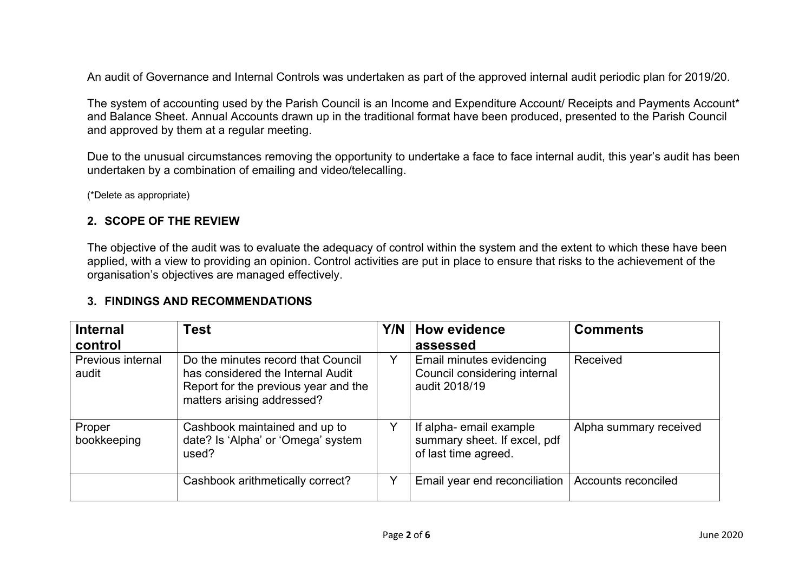An audit of Governance and Internal Controls was undertaken as part of the approved internal audit periodic plan for 2019/20.

The system of accounting used by the Parish Council is an Income and Expenditure Account/ Receipts and Payments Account<sup>\*</sup> and Balance Sheet. Annual Accounts drawn up in the traditional format have been produced, presented to the Parish Council and approved by them at a regular meeting.

Due to the unusual circumstances removing the opportunity to undertake a face to face internal audit, this year's audit has been undertaken by a combination of emailing and video/telecalling.

(\*Delete as appropriate)

#### **2. SCOPE OF THE REVIEW**

The objective of the audit was to evaluate the adequacy of control within the system and the extent to which these have been applied, with a view to providing an opinion. Control activities are put in place to ensure that risks to the achievement of the organisation's objectives are managed effectively.

### **3. FINDINGS AND RECOMMENDATIONS**

| <b>Internal</b>            | Test                                                                                                                                          | Y/N | <b>How evidence</b>                                                            | <b>Comments</b>        |
|----------------------------|-----------------------------------------------------------------------------------------------------------------------------------------------|-----|--------------------------------------------------------------------------------|------------------------|
| control                    |                                                                                                                                               |     | assessed                                                                       |                        |
| Previous internal<br>audit | Do the minutes record that Council<br>has considered the Internal Audit<br>Report for the previous year and the<br>matters arising addressed? | Y   | Email minutes evidencing<br>Council considering internal<br>audit 2018/19      | Received               |
| Proper<br>bookkeeping      | Cashbook maintained and up to<br>date? Is 'Alpha' or 'Omega' system<br>used?                                                                  |     | If alpha-email example<br>summary sheet. If excel, pdf<br>of last time agreed. | Alpha summary received |
|                            | Cashbook arithmetically correct?                                                                                                              |     | Email year end reconciliation                                                  | Accounts reconciled    |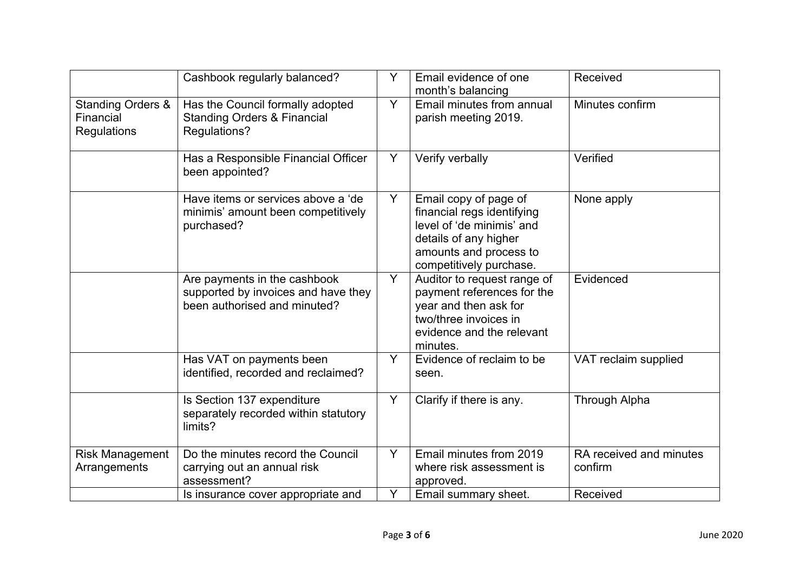|                                                          | Cashbook regularly balanced?                                                                        | Y | Email evidence of one<br>month's balancing                                                                                                                     | Received                           |
|----------------------------------------------------------|-----------------------------------------------------------------------------------------------------|---|----------------------------------------------------------------------------------------------------------------------------------------------------------------|------------------------------------|
| <b>Standing Orders &amp;</b><br>Financial<br>Regulations | Has the Council formally adopted<br><b>Standing Orders &amp; Financial</b><br>Regulations?          | Y | Email minutes from annual<br>parish meeting 2019.                                                                                                              | Minutes confirm                    |
|                                                          | Has a Responsible Financial Officer<br>been appointed?                                              | Y | Verify verbally                                                                                                                                                | Verified                           |
|                                                          | Have items or services above a 'de<br>minimis' amount been competitively<br>purchased?              | Y | Email copy of page of<br>financial regs identifying<br>level of 'de minimis' and<br>details of any higher<br>amounts and process to<br>competitively purchase. | None apply                         |
|                                                          | Are payments in the cashbook<br>supported by invoices and have they<br>been authorised and minuted? | Y | Auditor to request range of<br>payment references for the<br>year and then ask for<br>two/three invoices in<br>evidence and the relevant<br>minutes.           | Evidenced                          |
|                                                          | Has VAT on payments been<br>identified, recorded and reclaimed?                                     | Y | Evidence of reclaim to be<br>seen.                                                                                                                             | VAT reclaim supplied               |
|                                                          | Is Section 137 expenditure<br>separately recorded within statutory<br>limits?                       | Y | Clarify if there is any.                                                                                                                                       | <b>Through Alpha</b>               |
| <b>Risk Management</b><br>Arrangements                   | Do the minutes record the Council<br>carrying out an annual risk<br>assessment?                     | Y | Email minutes from 2019<br>where risk assessment is<br>approved.                                                                                               | RA received and minutes<br>confirm |
|                                                          | Is insurance cover appropriate and                                                                  | Y | Email summary sheet.                                                                                                                                           | Received                           |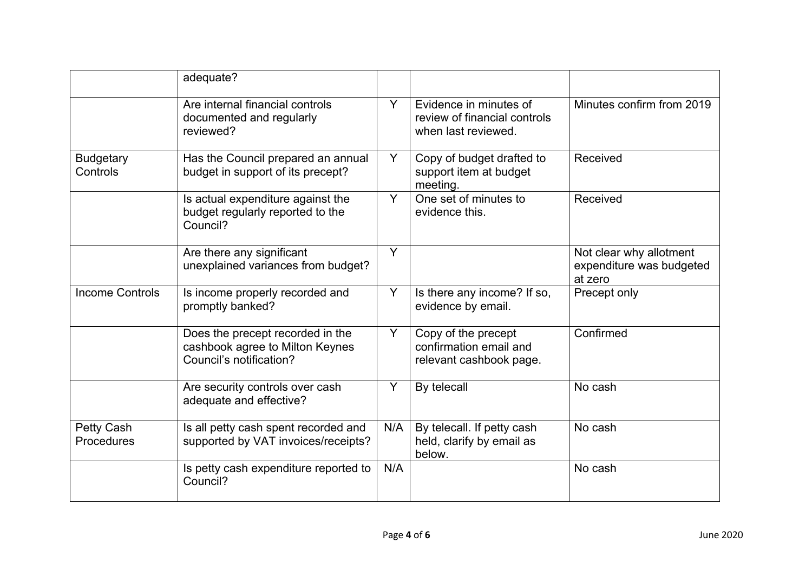|                                 | adequate?                                                                                      |     |                                                                               |                                                                |
|---------------------------------|------------------------------------------------------------------------------------------------|-----|-------------------------------------------------------------------------------|----------------------------------------------------------------|
|                                 | Are internal financial controls<br>documented and regularly<br>reviewed?                       | Y   | Evidence in minutes of<br>review of financial controls<br>when last reviewed. | Minutes confirm from 2019                                      |
| <b>Budgetary</b><br>Controls    | Has the Council prepared an annual<br>budget in support of its precept?                        | Y   | Copy of budget drafted to<br>support item at budget<br>meeting.               | Received                                                       |
|                                 | Is actual expenditure against the<br>budget regularly reported to the<br>Council?              | Y   | One set of minutes to<br>evidence this.                                       | Received                                                       |
|                                 | Are there any significant<br>unexplained variances from budget?                                | Y   |                                                                               | Not clear why allotment<br>expenditure was budgeted<br>at zero |
| <b>Income Controls</b>          | Is income properly recorded and<br>promptly banked?                                            | Y   | Is there any income? If so,<br>evidence by email.                             | Precept only                                                   |
|                                 | Does the precept recorded in the<br>cashbook agree to Milton Keynes<br>Council's notification? | Y   | Copy of the precept<br>confirmation email and<br>relevant cashbook page.      | Confirmed                                                      |
|                                 | Are security controls over cash<br>adequate and effective?                                     | Y   | By telecall                                                                   | No cash                                                        |
| <b>Petty Cash</b><br>Procedures | Is all petty cash spent recorded and<br>supported by VAT invoices/receipts?                    | N/A | By telecall. If petty cash<br>held, clarify by email as<br>below.             | No cash                                                        |
|                                 | Is petty cash expenditure reported to<br>Council?                                              | N/A |                                                                               | No cash                                                        |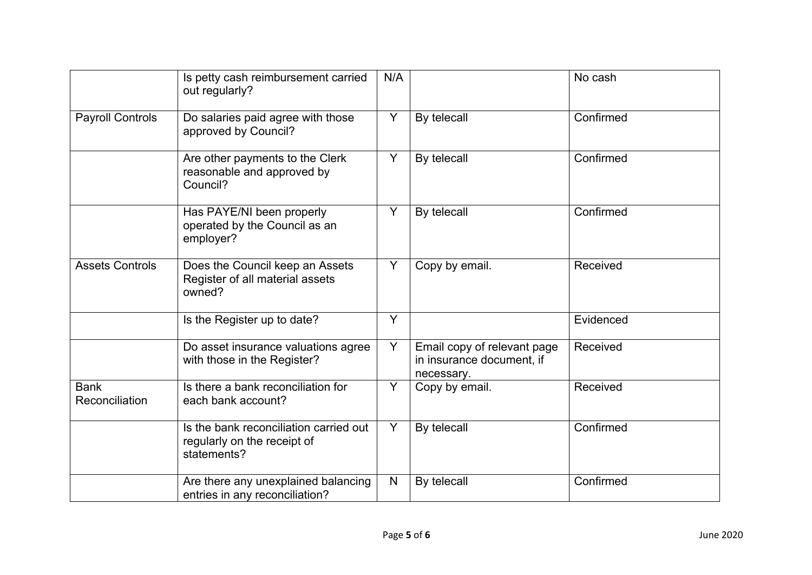|                               | Is petty cash reimbursement carried<br>out regularly?                                | N/A |                                                                        | No cash   |
|-------------------------------|--------------------------------------------------------------------------------------|-----|------------------------------------------------------------------------|-----------|
| <b>Payroll Controls</b>       | Do salaries paid agree with those<br>approved by Council?                            | Y   | By telecall                                                            | Confirmed |
|                               | Are other payments to the Clerk<br>reasonable and approved by<br>Council?            | Y   | By telecall                                                            | Confirmed |
|                               | Has PAYE/NI been properly<br>operated by the Council as an<br>employer?              | Y   | By telecall                                                            | Confirmed |
| <b>Assets Controls</b>        | Does the Council keep an Assets<br>Register of all material assets<br>owned?         | Y   | Copy by email.                                                         | Received  |
|                               | Is the Register up to date?                                                          | Y   |                                                                        | Evidenced |
|                               | Do asset insurance valuations agree<br>with those in the Register?                   | Y   | Email copy of relevant page<br>in insurance document, if<br>necessary. | Received  |
| <b>Bank</b><br>Reconciliation | Is there a bank reconciliation for<br>each bank account?                             | Υ   | Copy by email.                                                         | Received  |
|                               | Is the bank reconciliation carried out<br>regularly on the receipt of<br>statements? | Y   | By telecall                                                            | Confirmed |
|                               | Are there any unexplained balancing<br>entries in any reconciliation?                | N   | By telecall                                                            | Confirmed |